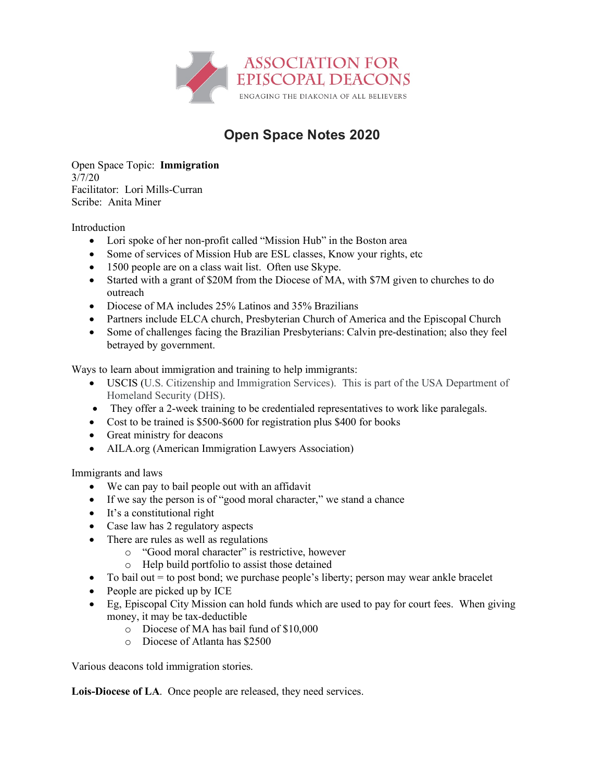

## **Open Space Notes 2020**

Open Space Topic: **Immigration** 3/7/20 Facilitator: Lori Mills-Curran Scribe: Anita Miner

Introduction

- Lori spoke of her non-profit called "Mission Hub" in the Boston area
- Some of services of Mission Hub are ESL classes, Know your rights, etc
- 1500 people are on a class wait list. Often use Skype.
- Started with a grant of \$20M from the Diocese of MA, with \$7M given to churches to do outreach
- Diocese of MA includes 25% Latinos and 35% Brazilians
- Partners include ELCA church, Presbyterian Church of America and the Episcopal Church
- Some of challenges facing the Brazilian Presbyterians: Calvin pre-destination; also they feel betrayed by government.

Ways to learn about immigration and training to help immigrants:

- USCIS (U.S. Citizenship and Immigration Services). This is part of the USA Department of Homeland Security (DHS).
- They offer a 2-week training to be credentialed representatives to work like paralegals.
- Cost to be trained is \$500-\$600 for registration plus \$400 for books
- Great ministry for deacons
- AILA.org (American Immigration Lawyers Association)

Immigrants and laws

- We can pay to bail people out with an affidavit
- If we say the person is of "good moral character," we stand a chance
- It's a constitutional right
- Case law has 2 regulatory aspects
- There are rules as well as regulations
	- o "Good moral character" is restrictive, however
	- o Help build portfolio to assist those detained
- To bail out  $=$  to post bond; we purchase people's liberty; person may wear ankle bracelet
- People are picked up by ICE
- Eg, Episcopal City Mission can hold funds which are used to pay for court fees. When giving money, it may be tax-deductible
	- o Diocese of MA has bail fund of \$10,000
	- o Diocese of Atlanta has \$2500

Various deacons told immigration stories.

**Lois-Diocese of LA**. Once people are released, they need services.